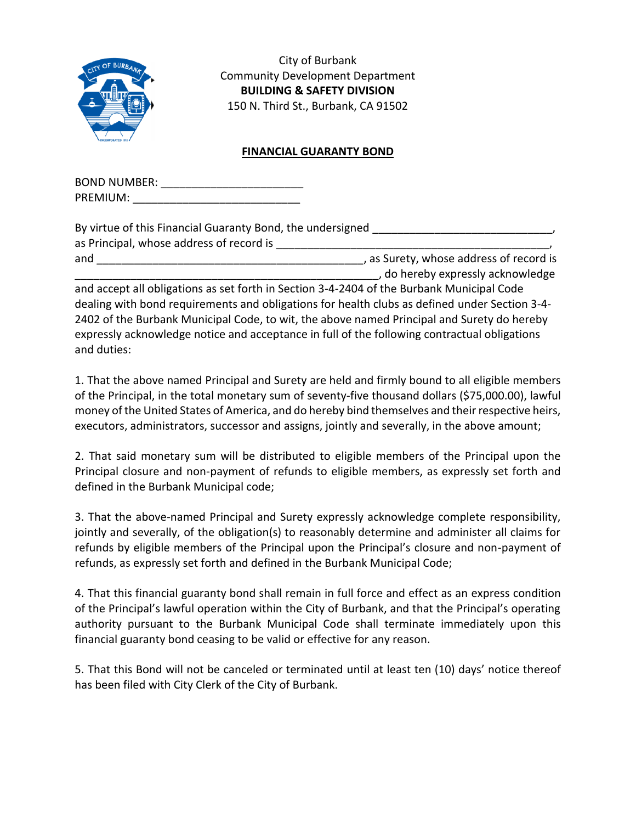

City of Burbank Community Development Department **BUILDING & SAFETY DIVISION** 150 N. Third St., Burbank, CA 91502

## **FINANCIAL GUARANTY BOND**

| <b>BOND NUMBER:</b> |  |
|---------------------|--|
| PREMIUM:            |  |

| By virtue of this Financial Guaranty Bond, the undersigned |                                         |
|------------------------------------------------------------|-----------------------------------------|
| as Principal, whose address of record is                   |                                         |
| and                                                        | , as Surety, whose address of record is |
|                                                            | , do hereby expressly acknowledge       |

and accept all obligations as set forth in Section 3-4-2404 of the Burbank Municipal Code dealing with bond requirements and obligations for health clubs as defined under Section 3-4- 2402 of the Burbank Municipal Code, to wit, the above named Principal and Surety do hereby expressly acknowledge notice and acceptance in full of the following contractual obligations and duties:

1. That the above named Principal and Surety are held and firmly bound to all eligible members of the Principal, in the total monetary sum of seventy-five thousand dollars (\$75,000.00), lawful money of the United States of America, and do hereby bind themselves and their respective heirs, executors, administrators, successor and assigns, jointly and severally, in the above amount;

2. That said monetary sum will be distributed to eligible members of the Principal upon the Principal closure and non-payment of refunds to eligible members, as expressly set forth and defined in the Burbank Municipal code;

3. That the above-named Principal and Surety expressly acknowledge complete responsibility, jointly and severally, of the obligation(s) to reasonably determine and administer all claims for refunds by eligible members of the Principal upon the Principal's closure and non-payment of refunds, as expressly set forth and defined in the Burbank Municipal Code;

4. That this financial guaranty bond shall remain in full force and effect as an express condition of the Principal's lawful operation within the City of Burbank, and that the Principal's operating authority pursuant to the Burbank Municipal Code shall terminate immediately upon this financial guaranty bond ceasing to be valid or effective for any reason.

5. That this Bond will not be canceled or terminated until at least ten (10) days' notice thereof has been filed with City Clerk of the City of Burbank.